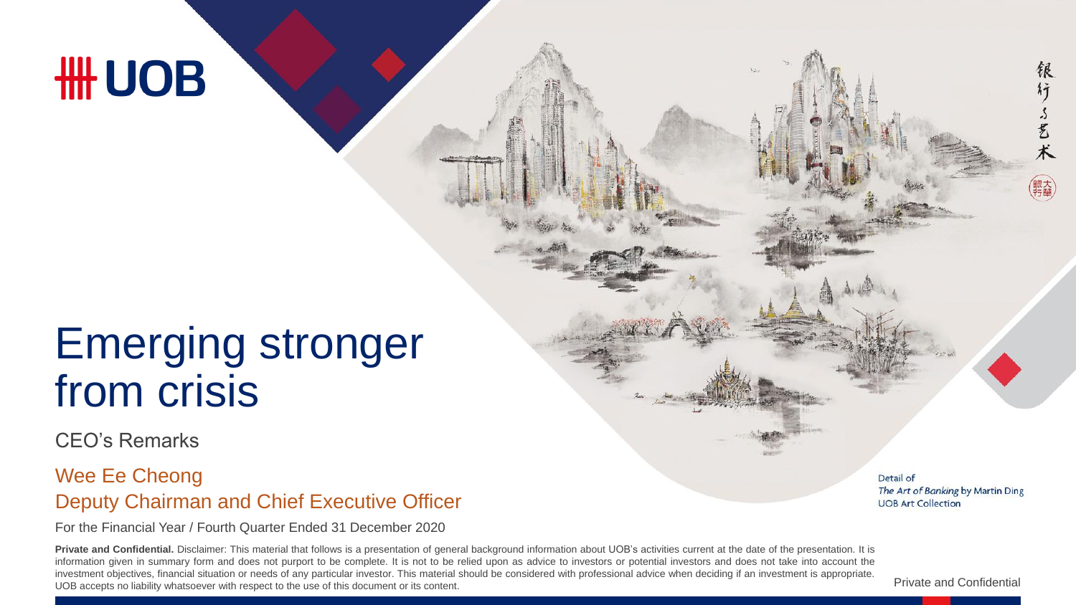# **HH UOB**

## Emerging stronger from crisis

CEO's Remarks

#### Deputy Chairman and Chief Executive Officer Wee Ee Cheong

For the Financial Year / Fourth Quarter Ended 31 December 2020

Private and Confidential. Disclaimer: This material that follows is a presentation of general background information about UOB's activities current at the date of the presentation. It is information given in summary form and does not purport to be complete. It is not to be relied upon as advice to investors or potential investors and does not take into account the investment objectives, financial situation or needs of any particular investor. This material should be considered with professional advice when deciding if an investment is appropriate. UOB accepts no liability whatsoever with respect to the use of this document or its content.

Detail of The Art of Banking by Martin Ding **UOB Art Collection** 

稂 行

了艺术

Private and Confidential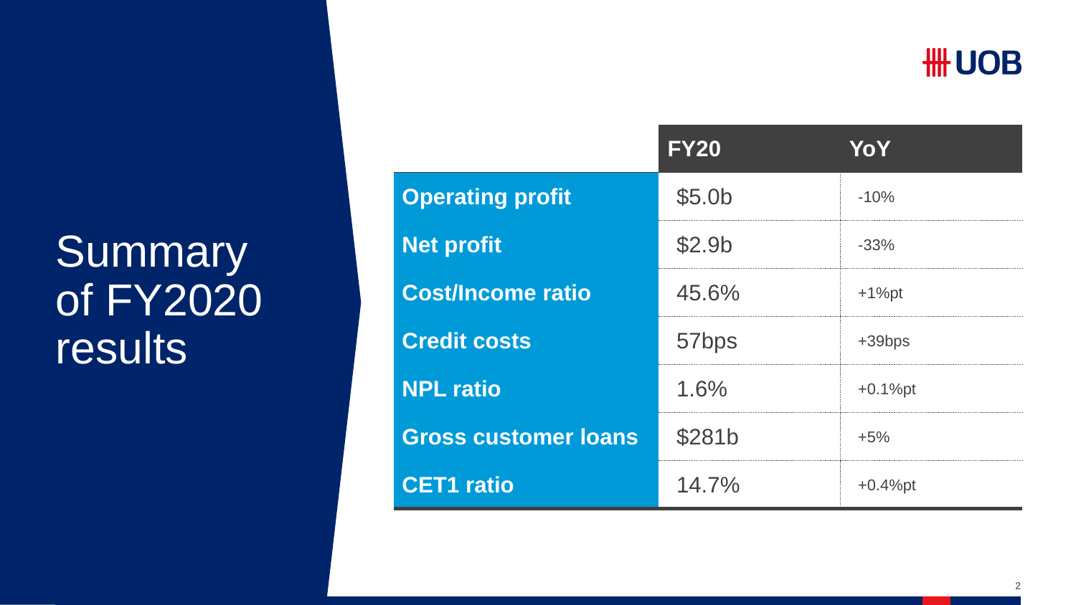### **HH UOB**

## **Summary** of FY2020 results

|                             | <b>FY20</b>        | YoY        |
|-----------------------------|--------------------|------------|
| <b>Operating profit</b>     | \$5.0 <sub>b</sub> | $-10%$     |
| <b>Net profit</b>           | \$2.9 <sub>b</sub> | $-33%$     |
| <b>Cost/Income ratio</b>    | 45.6%              | $+1%$ pt   |
| <b>Credit costs</b>         | 57bps              | $+39bps$   |
| <b>NPL ratio</b>            | 1.6%               | $+0.1%$ pt |
| <b>Gross customer loans</b> | \$281b             | $+5%$      |
| <b>CET1 ratio</b>           | 14.7%              | $+0.4%$ pt |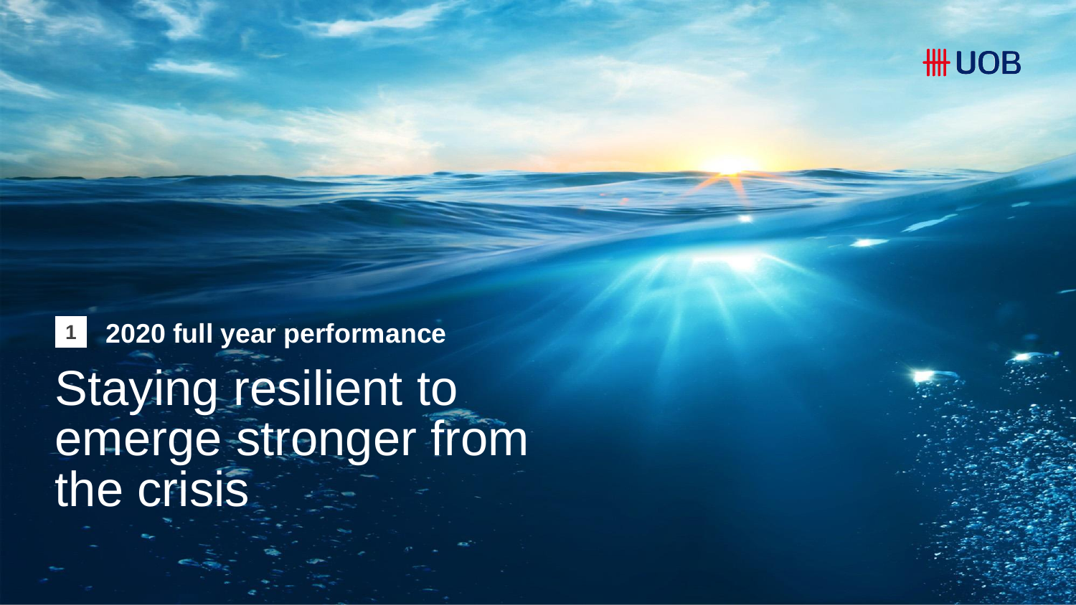

**1 2020 full year performance** Staying resilient to emerge stronger from the crisis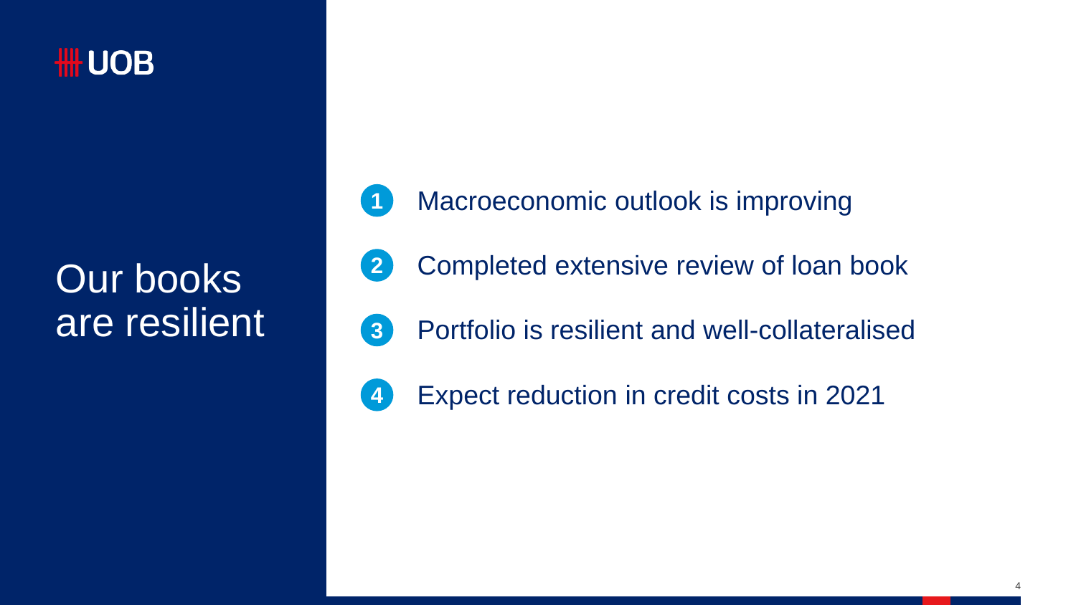

Our books are resilient

|  |  | Macroeconomic outlook is improving |  |  |
|--|--|------------------------------------|--|--|
|--|--|------------------------------------|--|--|

- Completed extensive review of loan book **2**
- **3**
- Portfolio is resilient and well-collateralised
- Expect reduction in credit costs in 2021 **4**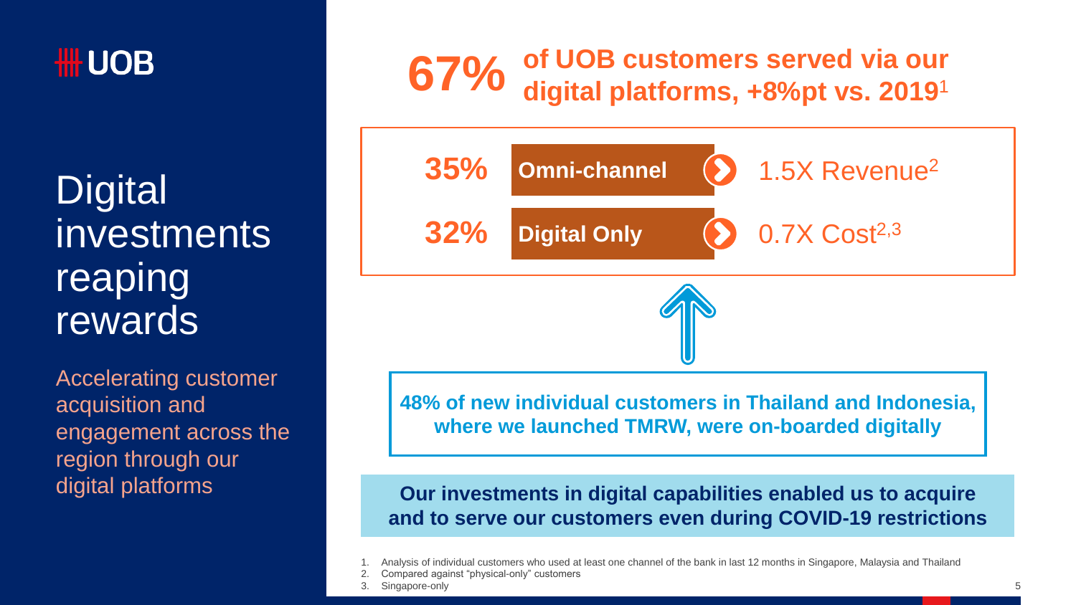

**Digital** investments reaping rewards

Accelerating customer acquisition and engagement across the region through our digital platforms

# **67%** of UOB customers served via our<br> **67%** digital platforms, +8%pt vs. 2019<sup>1</sup>



**48% of new individual customers in Thailand and Indonesia, where we launched TMRW, were on-boarded digitally**

**Our investments in digital capabilities enabled us to acquire and to serve our customers even during COVID-19 restrictions**

Singapore-only

<sup>1.</sup> Analysis of individual customers who used at least one channel of the bank in last 12 months in Singapore, Malaysia and Thailand

<sup>2.</sup> Compared against "physical-only" customers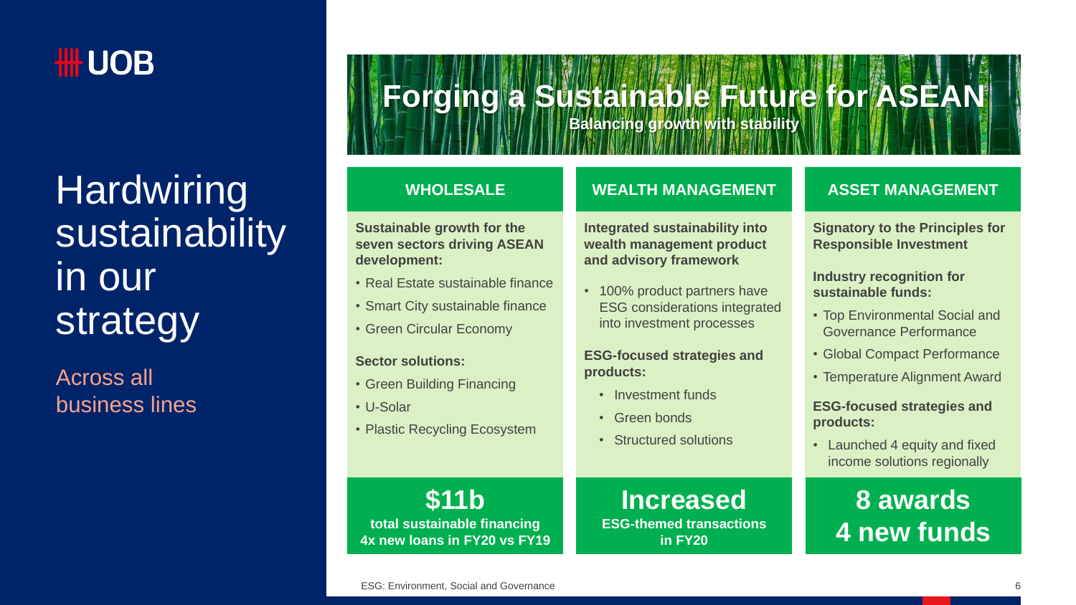

## **Hardwiring** sustainability in our strategy

Across all business lines

# **Forging a Sustainable Future for ASEAN**

**Balancing growth with stability**

**Sustainable growth for the seven sectors driving ASEAN development:**

- Real Estate sustainable finance
- Smart City sustainable finance
- Green Circular Economy

#### **Sector solutions:**

- Green Building Financing
- U-Solar
- Plastic Recycling Ecosystem

#### **WHOLESALE ASSET MANAGEMENT WEALTH MANAGEMENT**

**Integrated sustainability into wealth management product and advisory framework**

• 100% product partners have ESG considerations integrated into investment processes

**ESG-focused strategies and products:**

- Investment funds
- Green bonds
- Structured solutions

**Increased ESG-themed transactions in FY20**

**Signatory to the Principles for Responsible Investment**

**Industry recognition for sustainable funds:**

- Top Environmental Social and Governance Performance
- Global Compact Performance
- Temperature Alignment Award

#### **ESG-focused strategies and products:**

• Launched 4 equity and fixed income solutions regionally

**8 awards 4 new funds**

**\$11b total sustainable financing 4x new loans in FY20 vs FY19**

ESG: Environment, Social and Governance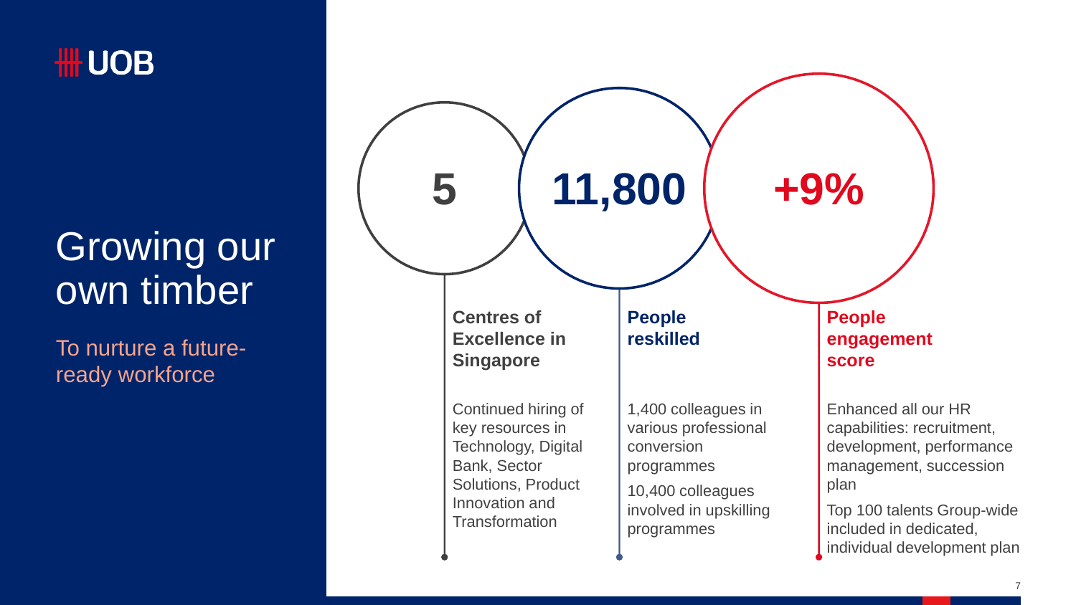

### Growing our own timber

To nurture a futureready workforce

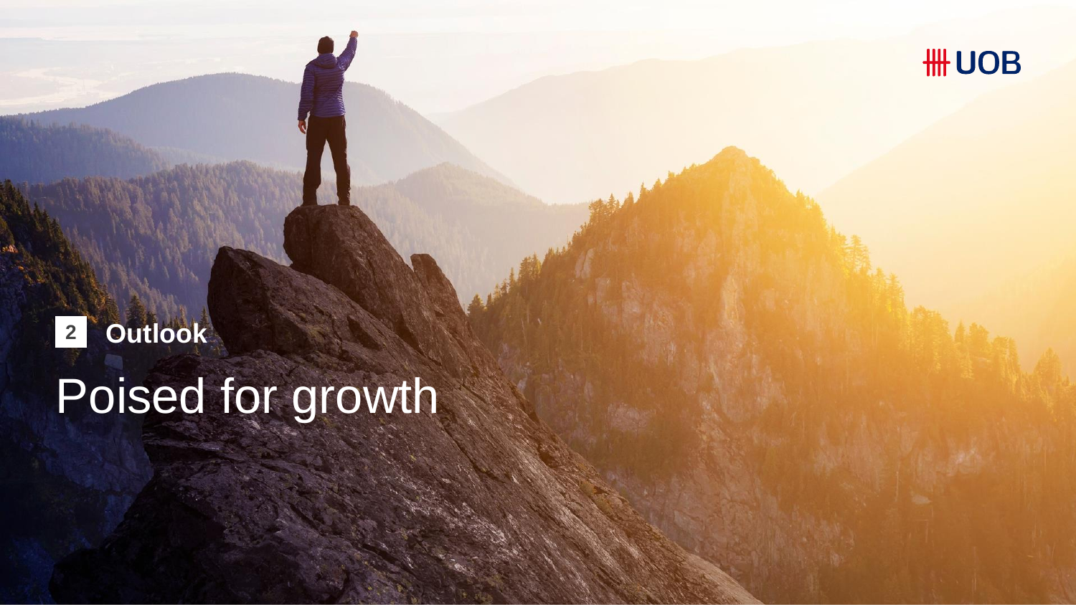

# Poised for growth **2 Outlook**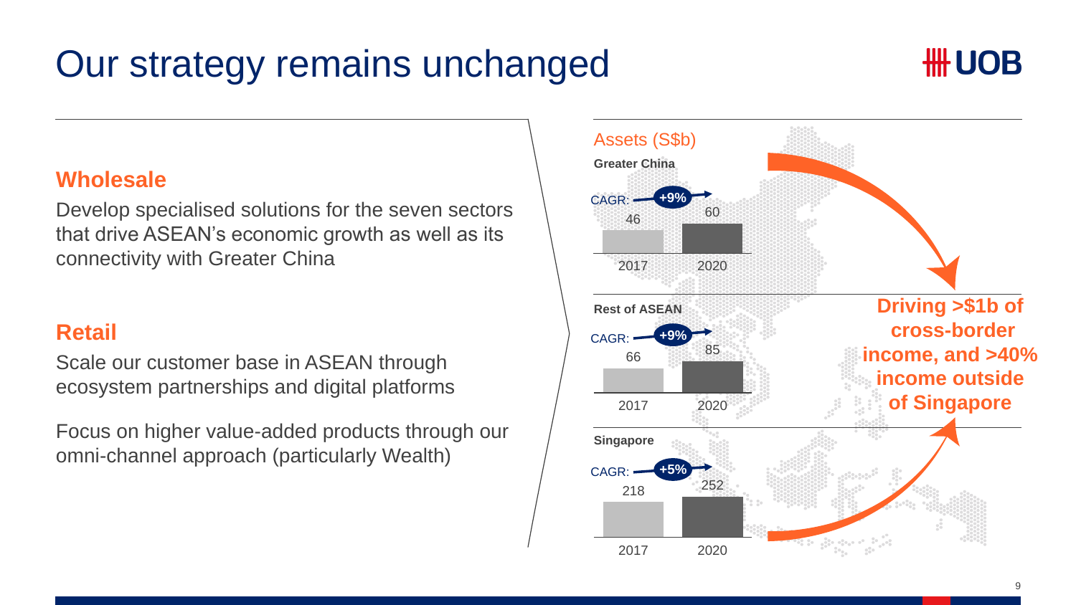### Our strategy remains unchanged



### **Wholesale**

Develop specialised solutions for the seven sectors that drive ASEAN's economic growth as well as its connectivity with Greater China

### **Retail**

Scale our customer base in ASEAN through ecosystem partnerships and digital platforms

Focus on higher value-added products through our omni-channel approach (particularly Wealth)

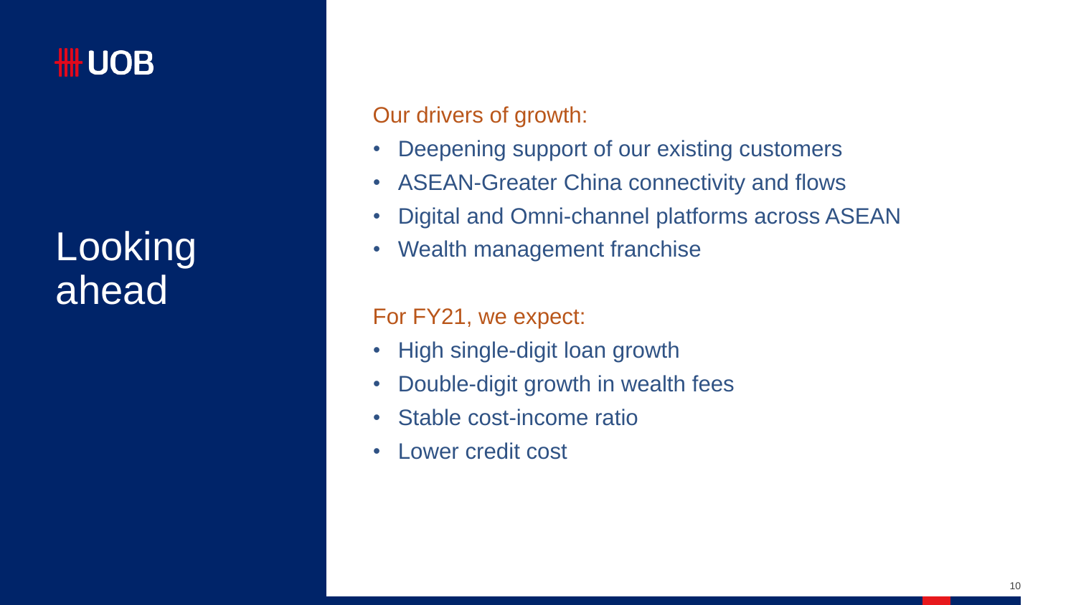### **HILOB**

### **Looking** ahead

Our drivers of growth:

- Deepening support of our existing customers
- ASEAN-Greater China connectivity and flows
- Digital and Omni-channel platforms across ASEAN
- Wealth management franchise

For FY21, we expect:

- High single-digit loan growth
- Double-digit growth in wealth fees
- Stable cost-income ratio
- Lower credit cost